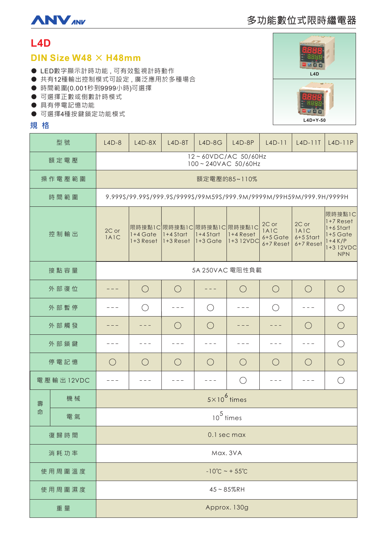

# **L4D**

# DIN Size W48  $\times$  H48mm

- LED數字顯示計時功能,可有效監視計時動作
- 共有12種輸出控制模式可設定,廣泛應用於多種場合
- 時間範圍(0.001秒到9999小時)可選擇
- 可選擇正數或倒數計時模式
- 具有停電記憶功能
- 可選擇4種按鍵鎖定功能模式

## **規格**

| 型號        |    | $L4D-8$                                                            | $L4D-8X$                              | $L4D-8T$     | $L4D-8G$                                                | $L4D-8P$              | $L4D-11$                                   | $L4D-11T$                               | $L4D-11P$                                                                                 |
|-----------|----|--------------------------------------------------------------------|---------------------------------------|--------------|---------------------------------------------------------|-----------------------|--------------------------------------------|-----------------------------------------|-------------------------------------------------------------------------------------------|
| 額定電壓      |    | 12~60VDC/AC 50/60Hz<br>100~240VAC 50/60Hz                          |                                       |              |                                                         |                       |                                            |                                         |                                                                                           |
| 操作電壓範圍    |    | 額定電壓的85~110%                                                       |                                       |              |                                                         |                       |                                            |                                         |                                                                                           |
| 時間範圍      |    | 9.999S/99.99S/999.9S/9999S/99M59S/999.9M/9999M/99H59M/999.9H/9999H |                                       |              |                                                         |                       |                                            |                                         |                                                                                           |
| 控制輸出      |    | 2C or<br>IAIC                                                      | $1+4$ Gate<br>$1+3$ Reset $1+3$ Reset | $ 1+4$ Start | 限時接點1C 限時接點1C 限時接點1C 限時接點1C<br>1+4 Start<br>$ 1+3$ Gate | 1+4 Reset<br>1+312VDC | 2C or<br>1A1C<br>$6+5$ Gate<br>$6+7$ Reset | 2C or<br>1A1C<br>6+5 Start<br>6+7 Reset | 限時接點1C<br>$1+7$ Reset<br>$1+6$ Start<br>$1+5$ Gate<br>$1+4$ K/P<br>1+312VDC<br><b>NPN</b> |
| 接點容量      |    | 5A 250VAC 電阻性負載                                                    |                                       |              |                                                         |                       |                                            |                                         |                                                                                           |
| 外部復位      |    |                                                                    | $\bigcirc$                            | $\bigcirc$   |                                                         | $\bigcirc$            | $\bigcirc$                                 | $\bigcirc$                              | $\bigcirc$                                                                                |
| 外部暫停      |    |                                                                    | ( )                                   |              | $\bigcirc$                                              |                       | $\bigcirc$                                 |                                         | $\bigcirc$                                                                                |
| 外部觸發      |    |                                                                    |                                       | $\bigcirc$   | $\bigcirc$                                              |                       |                                            | $\bigcirc$                              | $\bigcirc$                                                                                |
| 外部鎖鍵      |    |                                                                    |                                       |              |                                                         |                       |                                            |                                         | $\bigcirc$                                                                                |
| 停電記憶      |    | $\bigcirc$                                                         | $\bigcirc$                            | $\bigcirc$   | $\bigcirc$                                              | $\bigcirc$            | $\bigcirc$                                 | $\bigcirc$                              | $\bigcirc$                                                                                |
| 電壓輸出12VDC |    |                                                                    |                                       | - - -        |                                                         | $\bigcirc$            | - - -                                      |                                         | $\bigcap$                                                                                 |
| 壽<br>命    | 機械 | $5 \times 10^6$ times                                              |                                       |              |                                                         |                       |                                            |                                         |                                                                                           |
|           | 電氣 | $10^5$ times                                                       |                                       |              |                                                         |                       |                                            |                                         |                                                                                           |
| 復歸時間      |    | 0.1 sec max                                                        |                                       |              |                                                         |                       |                                            |                                         |                                                                                           |
| 消耗功率      |    | Max. 3VA                                                           |                                       |              |                                                         |                       |                                            |                                         |                                                                                           |
| 使用周圍溫度    |    | $-10^{\circ}C - 55^{\circ}C$                                       |                                       |              |                                                         |                       |                                            |                                         |                                                                                           |
| 使用周圍濕度    |    | $45 - 85%$ RH                                                      |                                       |              |                                                         |                       |                                            |                                         |                                                                                           |
| 重量        |    | Approx. 130g                                                       |                                       |              |                                                         |                       |                                            |                                         |                                                                                           |

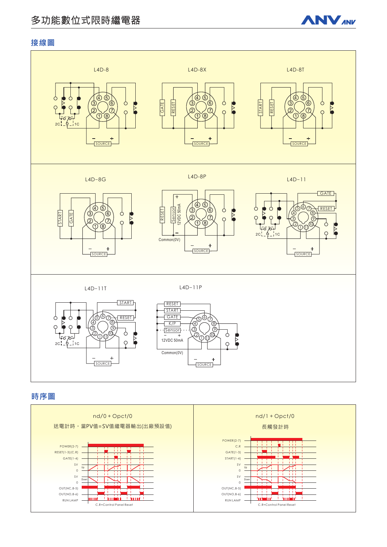# 多功能數位式限時繼電器



## 接線圖



# 時序圖

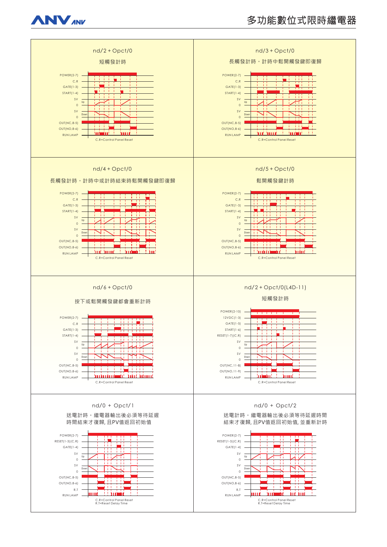